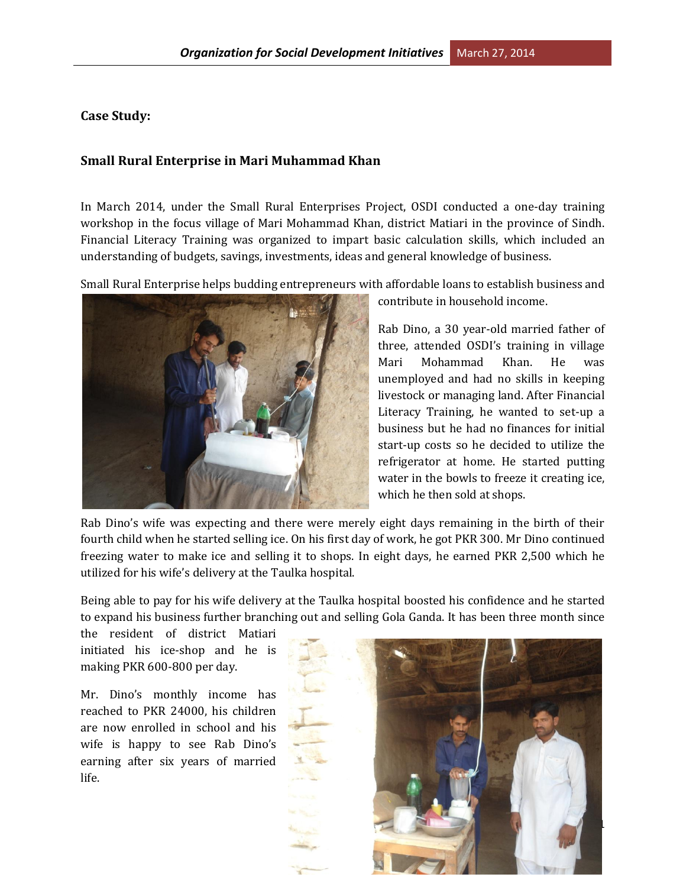**Case Study:**

## **Small Rural Enterprise in Mari Muhammad Khan**

In March 2014, under the Small Rural Enterprises Project, OSDI conducted a one-day training workshop in the focus village of Mari Mohammad Khan, district Matiari in the province of Sindh. Financial Literacy Training was organized to impart basic calculation skills, which included an understanding of budgets, savings, investments, ideas and general knowledge of business.

Small Rural Enterprise helps budding entrepreneurs with affordable loans to establish business and



contribute in household income.

Rab Dino, a 30 year-old married father of three, attended OSDI's training in village Mari Mohammad Khan. He was unemployed and had no skills in keeping livestock or managing land. After Financial Literacy Training, he wanted to set-up a business but he had no finances for initial start-up costs so he decided to utilize the refrigerator at home. He started putting water in the bowls to freeze it creating ice, which he then sold at shops.

Rab Dino's wife was expecting and there were merely eight days remaining in the birth of their fourth child when he started selling ice. On his first day of work, he got PKR 300. Mr Dino continued freezing water to make ice and selling it to shops. In eight days, he earned PKR 2,500 which he utilized for his wife's delivery at the Taulka hospital.

Being able to pay for his wife delivery at the Taulka hospital boosted his confidence and he started to expand his business further branching out and selling Gola Ganda. It has been three month since

the resident of district Matiari initiated his ice-shop and he is making PKR 600-800 per day.

Mr. Dino's monthly income has reached to PKR 24000, his children are now enrolled in school and his wife is happy to see Rab Dino's earning after six years of married life.